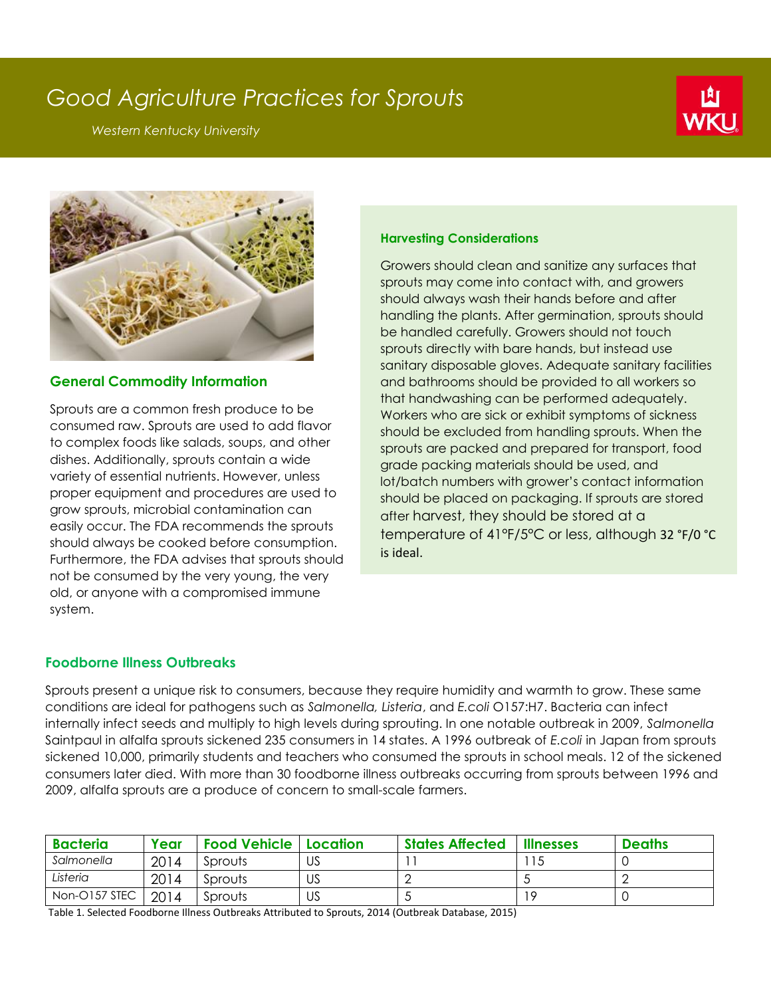# *Good Agriculture Practices for Sprouts*

*Western Kentucky University*





## **General Commodity Information**

Sprouts are a common fresh produce to be consumed raw. Sprouts are used to add flavor to complex foods like salads, soups, and other dishes. Additionally, sprouts contain a wide variety of essential nutrients. However, unless proper equipment and procedures are used to grow sprouts, microbial contamination can easily occur. The FDA recommends the sprouts should always be cooked before consumption. Furthermore, the FDA advises that sprouts should not be consumed by the very young, the very old, or anyone with a compromised immune system.

## **Harvesting Considerations**

Growers should clean and sanitize any surfaces that sprouts may come into contact with, and growers should always wash their hands before and after handling the plants. After germination, sprouts should be handled carefully. Growers should not touch sprouts directly with bare hands, but instead use sanitary disposable gloves. Adequate sanitary facilities and bathrooms should be provided to all workers so that handwashing can be performed adequately. Workers who are sick or exhibit symptoms of sickness should be excluded from handling sprouts. When the sprouts are packed and prepared for transport, food grade packing materials should be used, and lot/batch numbers with grower's contact information should be placed on packaging. If sprouts are stored after harvest, they should be stored at a temperature of 41°F/5°C or less, although 32 °F/0 °C is ideal.

## **Foodborne Illness Outbreaks**

Sprouts present a unique risk to consumers, because they require humidity and warmth to grow. These same conditions are ideal for pathogens such as *Salmonella, Listeria*, and *E.coli* O157:H7. Bacteria can infect internally infect seeds and multiply to high levels during sprouting. In one notable outbreak in 2009, *Salmonella* Saintpaul in alfalfa sprouts sickened 235 consumers in 14 states. A 1996 outbreak of *E.coli* in Japan from sprouts sickened 10,000, primarily students and teachers who consumed the sprouts in school meals. 12 of the sickened consumers later died. With more than 30 foodborne illness outbreaks occurring from sprouts between 1996 and 2009, alfalfa sprouts are a produce of concern to small-scale farmers.

| <b>Bacteria</b> | Year | <b>Food Vehicle   Location</b> |    | <b>States Affected</b> | <b>Illnesses</b> | <b>Deaths</b> |
|-----------------|------|--------------------------------|----|------------------------|------------------|---------------|
| Salmonella      | 2014 | Sprouts                        | US |                        |                  |               |
| Listeria        | 2014 | Sprouts                        | US |                        |                  |               |
| Non-O157 STEC   | 2014 | Sprouts                        | US | ◡                      | 1 C              |               |

Table 1. Selected Foodborne Illness Outbreaks Attributed to Sprouts, 2014 (Outbreak Database, 2015)